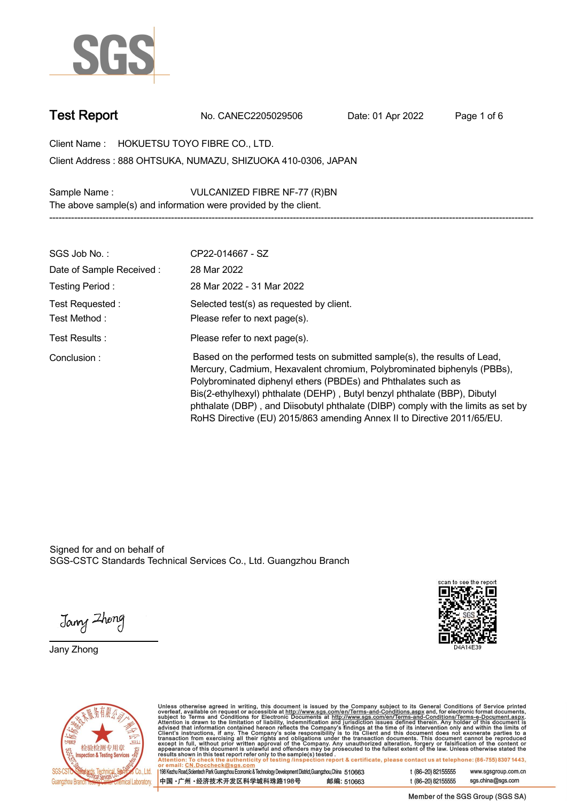

**Test Report. No. CANEC2205029506 . Date: 01 Apr 2022. Page 1 of 6.**

**Client Name : HOKUETSU TOYO FIBRE CO., LTD. . 888 OHTSUKA, NUMAZU, SHIZUOKA 410-0306, JAPAN . Client Address :**

**Sample Name : VULCANIZED FIBRE NF-77 (R)BN . The above sample(s) and information were provided by the client.**

| SGS Job No.:                    | CP22-014667 - SZ                                                                                                                                                                                                                                                                                                                                                                                                                                                   |
|---------------------------------|--------------------------------------------------------------------------------------------------------------------------------------------------------------------------------------------------------------------------------------------------------------------------------------------------------------------------------------------------------------------------------------------------------------------------------------------------------------------|
| Date of Sample Received:        | 28 Mar 2022                                                                                                                                                                                                                                                                                                                                                                                                                                                        |
| Testing Period:                 | 28 Mar 2022 - 31 Mar 2022                                                                                                                                                                                                                                                                                                                                                                                                                                          |
| Test Requested:<br>Test Method: | Selected test(s) as requested by client.<br>Please refer to next page(s).                                                                                                                                                                                                                                                                                                                                                                                          |
| Test Results:                   | Please refer to next page(s).                                                                                                                                                                                                                                                                                                                                                                                                                                      |
| Conclusion:                     | Based on the performed tests on submitted sample(s), the results of Lead,<br>Mercury, Cadmium, Hexavalent chromium, Polybrominated biphenyls (PBBs),<br>Polybrominated diphenyl ethers (PBDEs) and Phthalates such as<br>Bis(2-ethylhexyl) phthalate (DEHP), Butyl benzyl phthalate (BBP), Dibutyl<br>phthalate (DBP), and Diisobutyl phthalate (DIBP) comply with the limits as set by<br>RoHS Directive (EU) 2015/863 amending Annex II to Directive 2011/65/EU. |

**-----------------------------------------------------------------------------------------------------------------------------------------------------------**

Signed for and on behalf of SGS-CSTC Standards Technical Services Co., Ltd. Guangzhou Branch.

Jany Zhong

**Jany Zhong.**





Unless otherwise agreed in writing, this document is issued by the Company subject to its General Conditions of Service printed overleaf, available on request or accessible at http://www.sgs.com/en/Terms-and-Conditions.as

198 Kezhu Road, Scientech Park Guangzhou Economic & Technology Development District, Guangzhou, China 510663 中国·广州·经济技术开发区科学城科珠路198号 邮编: 510663 t (86-20) 82155555 www.sgsgroup.com.cn sgs.china@sgs.com t (86-20) 82155555

Member of the SGS Group (SGS SA)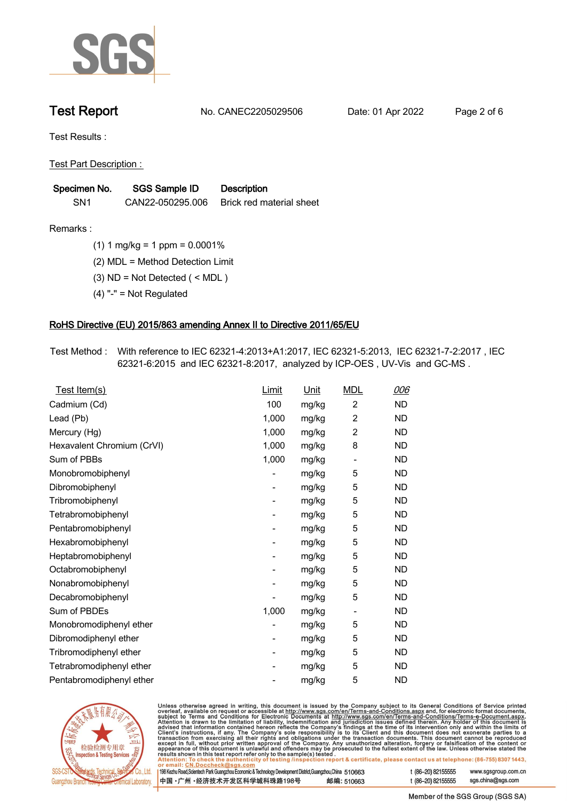

**Test Report. No. CANEC2205029506 . Date: 01 Apr 2022. Page 2 of 6.**

**Test Results :.**

**Test Part Description : .**

| Specimen No.    | SGS Sample ID    | <b>Description</b>       |
|-----------------|------------------|--------------------------|
| SN <sub>1</sub> | CAN22-050295.006 | Brick red material sheet |

**Remarks :.(1) 1 mg/kg = 1 ppm = 0.0001% .**

**(2) MDL = Method Detection Limit .**

**(3) ND = Not Detected ( < MDL ) .**

**(4) "-" = Not Regulated .**

## **RoHS Directive (EU) 2015/863 amending Annex II to Directive 2011/65/EU.**

**Test Method :. With reference to IEC 62321-4:2013+A1:2017, IEC 62321-5:2013, IEC 62321-7-2:2017 , IEC 62321-6:2015 and IEC 62321-8:2017, analyzed by ICP-OES , UV-Vis and GC-MS . .**

| Test Item(s)               | Limit | <u>Unit</u> | <b>MDL</b>                   | <u>006</u> |
|----------------------------|-------|-------------|------------------------------|------------|
| Cadmium (Cd)               | 100   | mg/kg       | $\overline{c}$               | <b>ND</b>  |
| Lead (Pb)                  | 1,000 | mg/kg       | $\overline{2}$               | <b>ND</b>  |
| Mercury (Hg)               | 1,000 | mg/kg       | $\overline{2}$               | <b>ND</b>  |
| Hexavalent Chromium (CrVI) | 1,000 | mg/kg       | 8                            | <b>ND</b>  |
| Sum of PBBs                | 1,000 | mg/kg       | $\qquad \qquad \blacksquare$ | <b>ND</b>  |
| Monobromobiphenyl          |       | mg/kg       | 5                            | <b>ND</b>  |
| Dibromobiphenyl            | -     | mg/kg       | 5                            | <b>ND</b>  |
| Tribromobiphenyl           | -     | mg/kg       | 5                            | <b>ND</b>  |
| Tetrabromobiphenyl         |       | mg/kg       | 5                            | <b>ND</b>  |
| Pentabromobiphenyl         | -     | mg/kg       | 5                            | <b>ND</b>  |
| Hexabromobiphenyl          |       | mg/kg       | 5                            | <b>ND</b>  |
| Heptabromobiphenyl         |       | mg/kg       | 5                            | <b>ND</b>  |
| Octabromobiphenyl          | -     | mg/kg       | 5                            | <b>ND</b>  |
| Nonabromobiphenyl          |       | mg/kg       | 5                            | <b>ND</b>  |
| Decabromobiphenyl          |       | mg/kg       | 5                            | <b>ND</b>  |
| Sum of PBDEs               | 1,000 | mg/kg       | $\overline{\phantom{a}}$     | <b>ND</b>  |
| Monobromodiphenyl ether    |       | mg/kg       | 5                            | <b>ND</b>  |
| Dibromodiphenyl ether      |       | mg/kg       | 5                            | <b>ND</b>  |
| Tribromodiphenyl ether     | -     | mg/kg       | 5                            | <b>ND</b>  |
| Tetrabromodiphenyl ether   |       | mg/kg       | 5                            | <b>ND</b>  |
| Pentabromodiphenyl ether   |       | mg/kg       | 5                            | <b>ND</b>  |



 $\overline{11}$ 

١r

Unless otherwise agreed in writing, this document is issued by the Company subject to its General Conditions of Service printed overleaf, available on request or accessible at http://www.sgs.com/en/Terms-and-Conditions.as

| remail: CN.Doccheck@sgs.com                                                                                |            |                    |                     |
|------------------------------------------------------------------------------------------------------------|------------|--------------------|---------------------|
| 8 Kezhu Road,Scientech Park Guangzhou Economic & Technology Development District,Guangzhou,China   51 O663 |            | t (86–20) 82155555 | www.sgsgroup.com.cr |
| Þ国 •广州 •经济技术开发区科学城科珠路198号 ↓                                                                                | 邮编: 510663 | t (86–20) 82155555 | sgs.china@sgs.com   |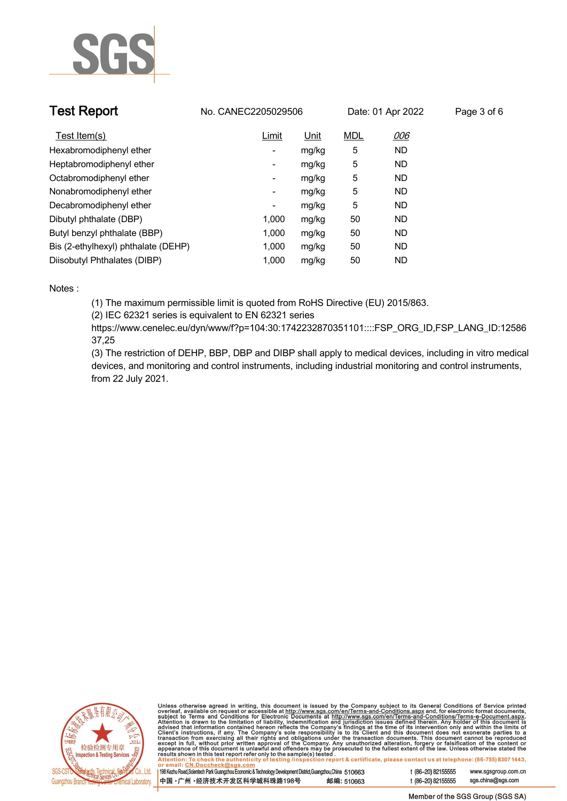

| <b>Test Report</b>                  | No. CANEC2205029506      |             |            | Date: 01 Apr 2022 | Page 3 of 6 |
|-------------------------------------|--------------------------|-------------|------------|-------------------|-------------|
| Test Item(s)                        | Limit                    | <u>Unit</u> | <b>MDL</b> | 006               |             |
| Hexabromodiphenyl ether             | -                        | mg/kg       | 5          | <b>ND</b>         |             |
| Heptabromodiphenyl ether            | Ξ.                       | mg/kg       | 5          | <b>ND</b>         |             |
| Octabromodiphenyl ether             | Ξ.                       | mg/kg       | 5          | <b>ND</b>         |             |
| Nonabromodiphenyl ether             | Ξ.                       | mg/kg       | 5          | <b>ND</b>         |             |
| Decabromodiphenyl ether             | $\overline{\phantom{a}}$ | mg/kg       | 5          | <b>ND</b>         |             |
| Dibutyl phthalate (DBP)             | 1.000                    | mg/kg       | 50         | <b>ND</b>         |             |
| Butyl benzyl phthalate (BBP)        | 1.000                    | mg/kg       | 50         | ND                |             |
| Bis (2-ethylhexyl) phthalate (DEHP) | 1.000                    | mg/kg       | 50         | ND                |             |
| Diisobutyl Phthalates (DIBP)        | 1.000                    | mg/kg       | 50         | ND                |             |

### **Notes :.**

**(1) The maximum permissible limit is quoted from RoHS Directive (EU) 2015/863.**

**(2) IEC 62321 series is equivalent to EN 62321 series**

**https://www.cenelec.eu/dyn/www/f?p=104:30:1742232870351101::::FSP\_ORG\_ID,FSP\_LANG\_ID:12586 37,25**

**(3) The restriction of DEHP, BBP, DBP and DIBP shall apply to medical devices, including in vitro medical devices, and monitoring and control instruments, including industrial monitoring and control instruments, from 22 July 2021..**



Unless otherwise agreed in writing, this document is issued by the Company subject to its General Conditions of Service printed<br>overleaf, available on request or accessible at http://www.sgs.com/en/Terms-and-Conditions.as

| 198 Kezhu Road,Scientech Park Guangzhou Economic & Technology Development District,Guangzhou,China 510663 |            |  |
|-----------------------------------------------------------------------------------------------------------|------------|--|
| 中国 •广州 •经济技术开发区科学城科珠路198号                                                                                 | 邮编: 510663 |  |

www.sgsgroup.com.cn

t (86-20) 82155555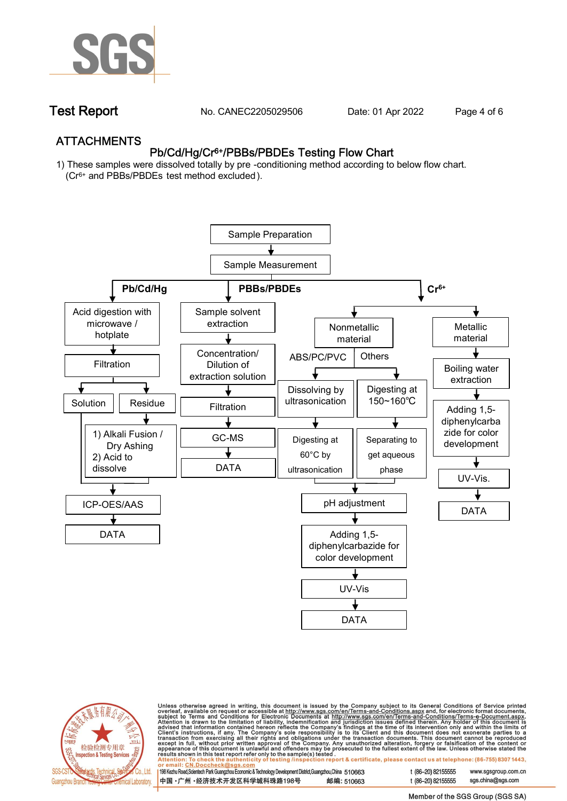

**Test Report. No. CANEC2205029506 . Date: 01 Apr 2022. Page 4 of 6.**

## **ATTACHMENTS Pb/Cd/Hg/Cr6+/PBBs/PBDEs Testing Flow Chart**

**1) These samples were dissolved totally by pre -conditioning method according to below flow chart. (Cr6+ and PBBs/PBDEs test method excluded ).**





Unless otherwise agreed in writing, this document is issued by the Company subject to its General Conditions of Service printed<br>overleaf, available on request or accessible at <u>http://www.sgs.com/en/Terms-and-Conditions.a</u>

| 198 Kezhu Road,Scientech Park Guangzhou Economic & Technology Development District,Guangzhou,China   510663 |            |
|-------------------------------------------------------------------------------------------------------------|------------|
| 中国 •广州 •经济技术开发区科学城科珠路198号 ;                                                                                 | 邮编: 510663 |

t (86-20) 82155555 t (86-20) 82155555 sas.china@sas.com

www.sgsgroup.com.cn

Member of the SGS Group (SGS SA)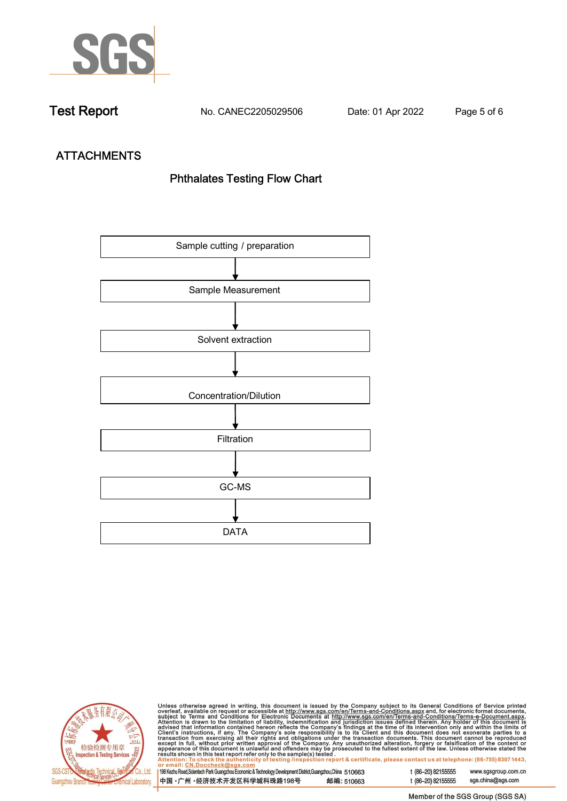

**Test Report. No. CANEC2205029506 . Date: 01 Apr 2022. Page 5 of 6.**

# **ATTACHMENTS Phthalates Testing Flow Chart**





Unless otherwise agreed in writing, this document is issued by the Company subject to its General Conditions of Service printed<br>overleaf, available on request or accessible at http://www.sgs.com/en/Terms-and-Conditions.as

| 198 Kezhu Road,Scientech Park Guangzhou Economic & Technology Development District,Guangzhou,China 510663 |            |  |
|-----------------------------------------------------------------------------------------------------------|------------|--|
| 中国 •广州 •经济技术开发区科学城科珠路198号                                                                                 | 邮编: 510663 |  |

t (86-20) 82155555 sgs.china@sgs.com

www.sgsgroup.com.cn

t (86-20) 82155555